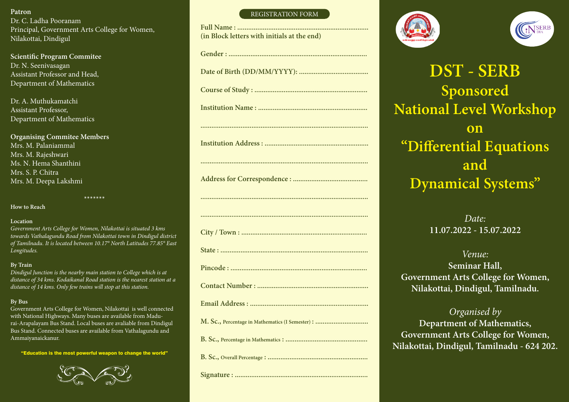#### **Patron** Dr. C. Ladha Pooranam Principal, Government Arts College for Women, Nilakottai, Dindigul

**Scientific Program Commitee** Dr. N. Seenivasagan Assistant Professor and Head, Department of Mathematics

Dr. A. Muthukamatchi Assistant Professor, Department of Mathematics

#### **Organising Commitee Members**

Mrs. M. Palaniammal Mrs. M. Rajeshwari Ms. N. Hema Shanthini Mrs. S. P. Chitra Mrs. M. Deepa Lakshmi

\*\*\*\*\*\*\*

**How to Reach**

#### **Location**

*Government Arts College for Women, Nilakottai is situated 3 kms towards Vathalagundu Road from Nilakottai town in Dindigul district of Tamilnadu. It is located between 10.17° North Latitudes 77.85° East Longitudes.* 

#### **By Train**

*Dindigul Junction is the nearby main station to College which is at distance of 34 kms. Kodaikanal Road station is the nearest station at a distance of 14 kms. Only few trains will stop at this station.*

#### **By Bus**

Government Arts College for Women, Nilakottai is well connected with National Highways. Many buses are available from Madurai-Arapalayam Bus Stand. Local buses are avaliable from Dindigul Bus Stand. Connected buses are available from Vathalagundu and Ammaiyanaickanur.

"Education is the most powerful weapon to change the world"



#### REGISTRATION FORM

| (in Block letters with initials at the end)      |
|--------------------------------------------------|
|                                                  |
|                                                  |
|                                                  |
|                                                  |
|                                                  |
|                                                  |
|                                                  |
|                                                  |
|                                                  |
|                                                  |
|                                                  |
|                                                  |
|                                                  |
|                                                  |
|                                                  |
| M. Sc., Percentage in Mathematics (I Semester) : |
|                                                  |
|                                                  |
|                                                  |





**DST - SERB Sponsored National Level Workshop on "Differential Equations and Dynamical Systems"**

# *Date:* **11.07.2022 - 15.07.2022**

*Venue:*  **Seminar Hall, Government Arts College for Women, Nilakottai, Dindigul, Tamilnadu.**

# *Organised by*

**Department of Mathematics, Government Arts College for Women, Nilakottai, Dindigul, Tamilnadu - 624 202.**